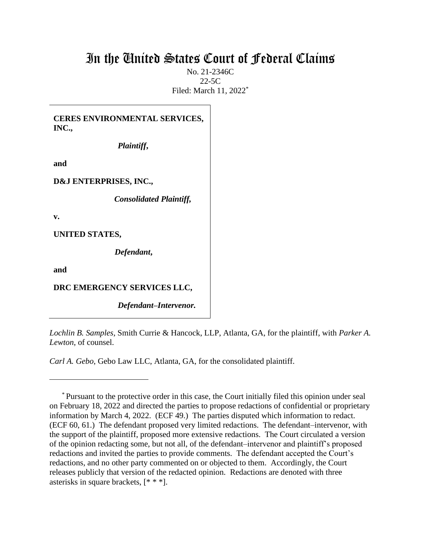# In the United States Court of Federal Claims

No. 21-2346C 22-5C Filed: March 11, 2022\*

## **CERES ENVIRONMENTAL SERVICES, INC.,**

*Plaintiff***,**

**and**

**D&J ENTERPRISES, INC.,**

*Consolidated Plaintiff,*

**v.**

**UNITED STATES,**

*Defendant***,**

**and**

**DRC EMERGENCY SERVICES LLC,**

*Defendant–Intervenor.*

*Lochlin B. Samples*, Smith Currie & Hancock, LLP, Atlanta, GA, for the plaintiff, with *Parker A. Lewton*, of counsel.

*Carl A. Gebo*, Gebo Law LLC, Atlanta, GA, for the consolidated plaintiff.

<sup>\*</sup> Pursuant to the protective order in this case, the Court initially filed this opinion under seal on February 18, 2022 and directed the parties to propose redactions of confidential or proprietary information by March 4, 2022. (ECF 49.) The parties disputed which information to redact. (ECF 60, 61.) The defendant proposed very limited redactions. The defendant–intervenor, with the support of the plaintiff, proposed more extensive redactions. The Court circulated a version of the opinion redacting some, but not all, of the defendant–intervenor and plaintiff's proposed redactions and invited the parties to provide comments. The defendant accepted the Court's redactions, and no other party commented on or objected to them. Accordingly, the Court releases publicly that version of the redacted opinion. Redactions are denoted with three asterisks in square brackets, [\* \* \*].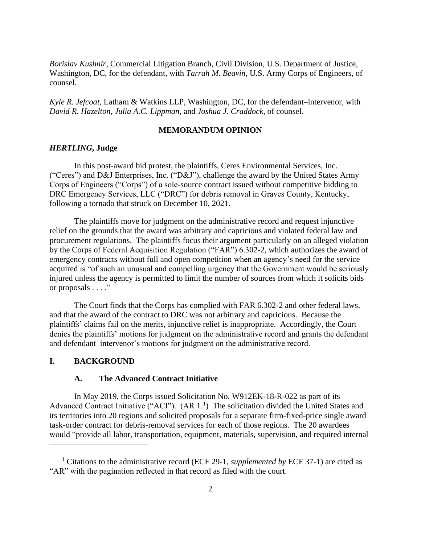*Borislav Kushnir*, Commercial Litigation Branch, Civil Division, U.S. Department of Justice, Washington, DC, for the defendant, with *Tarrah M. Beavin*, U.S. Army Corps of Engineers, of counsel.

*Kyle R. Jefcoat*, Latham & Watkins LLP, Washington, DC, for the defendant–intervenor, with *David R. Hazelton*, *Julia A.C. Lippman*, and *Joshua J. Craddock*, of counsel.

## **MEMORANDUM OPINION**

#### *HERTLING***, Judge**

In this post-award bid protest, the plaintiffs, Ceres Environmental Services, Inc. ("Ceres") and D&J Enterprises, Inc. ("D&J"), challenge the award by the United States Army Corps of Engineers ("Corps") of a sole-source contract issued without competitive bidding to DRC Emergency Services, LLC ("DRC") for debris removal in Graves County, Kentucky, following a tornado that struck on December 10, 2021.

The plaintiffs move for judgment on the administrative record and request injunctive relief on the grounds that the award was arbitrary and capricious and violated federal law and procurement regulations. The plaintiffs focus their argument particularly on an alleged violation by the Corps of Federal Acquisition Regulation ("FAR") 6.302-2, which authorizes the award of emergency contracts without full and open competition when an agency's need for the service acquired is "of such an unusual and compelling urgency that the Government would be seriously injured unless the agency is permitted to limit the number of sources from which it solicits bids or proposals . . . ."

The Court finds that the Corps has complied with FAR 6.302-2 and other federal laws, and that the award of the contract to DRC was not arbitrary and capricious. Because the plaintiffs' claims fail on the merits, injunctive relief is inappropriate. Accordingly, the Court denies the plaintiffs' motions for judgment on the administrative record and grants the defendant and defendant–intervenor's motions for judgment on the administrative record.

## **I. BACKGROUND**

#### **A. The Advanced Contract Initiative**

In May 2019, the Corps issued Solicitation No. W912EK-18-R-022 as part of its Advanced Contract Initiative ("ACI").  $(AR 1<sup>1</sup>)$  The solicitation divided the United States and its territories into 20 regions and solicited proposals for a separate firm-fixed-price single award task-order contract for debris-removal services for each of those regions. The 20 awardees would "provide all labor, transportation, equipment, materials, supervision, and required internal

<sup>1</sup> Citations to the administrative record (ECF 29-1, *supplemented by* ECF 37-1) are cited as "AR" with the pagination reflected in that record as filed with the court.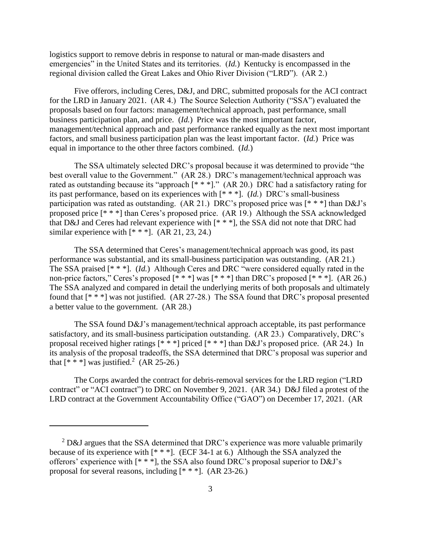logistics support to remove debris in response to natural or man-made disasters and emergencies" in the United States and its territories. (*Id.*) Kentucky is encompassed in the regional division called the Great Lakes and Ohio River Division ("LRD"). (AR 2.)

Five offerors, including Ceres, D&J, and DRC, submitted proposals for the ACI contract for the LRD in January 2021. (AR 4.) The Source Selection Authority ("SSA") evaluated the proposals based on four factors: management/technical approach, past performance, small business participation plan, and price. (*Id.*) Price was the most important factor, management/technical approach and past performance ranked equally as the next most important factors, and small business participation plan was the least important factor. (*Id.*) Price was equal in importance to the other three factors combined. (*Id.*)

The SSA ultimately selected DRC's proposal because it was determined to provide "the best overall value to the Government." (AR 28.) DRC's management/technical approach was rated as outstanding because its "approach [\* \* \*]." (AR 20.) DRC had a satisfactory rating for its past performance, based on its experiences with [\* \* \*]. (*Id.*) DRC's small-business participation was rated as outstanding. (AR 21.) DRC's proposed price was [\* \* \*] than D&J's proposed price [\* \* \*] than Ceres's proposed price. (AR 19.) Although the SSA acknowledged that D&J and Ceres had relevant experience with [\* \* \*], the SSA did not note that DRC had similar experience with  $[$ \* \* \*]. (AR 21, 23, 24.)

The SSA determined that Ceres's management/technical approach was good, its past performance was substantial, and its small-business participation was outstanding. (AR 21.) The SSA praised [\* \* \*]. (*Id.*) Although Ceres and DRC "were considered equally rated in the non-price factors," Ceres's proposed  $[* **]$  was  $[* **]$  than DRC's proposed  $[* **]$ . (AR 26.) The SSA analyzed and compared in detail the underlying merits of both proposals and ultimately found that [\* \* \*] was not justified. (AR 27-28.) The SSA found that DRC's proposal presented a better value to the government. (AR 28.)

The SSA found D&J's management/technical approach acceptable, its past performance satisfactory, and its small-business participation outstanding. (AR 23.) Comparatively, DRC's proposal received higher ratings  $[$ \* \* \*] priced  $[$ \* \* \*] than D&J's proposed price. (AR 24.) In its analysis of the proposal tradeoffs, the SSA determined that DRC's proposal was superior and that  $[$ <sup>\*</sup> \*  $]$ <sup>\*</sup> was justified.<sup>2</sup> (AR 25-26.)

The Corps awarded the contract for debris-removal services for the LRD region ("LRD contract" or "ACI contract") to DRC on November 9, 2021. (AR 34.) D&J filed a protest of the LRD contract at the Government Accountability Office ("GAO") on December 17, 2021. (AR

 $2$  D&J argues that the SSA determined that DRC's experience was more valuable primarily because of its experience with [\* \* \*]. (ECF 34-1 at 6.) Although the SSA analyzed the offerors' experience with [\* \* \*], the SSA also found DRC's proposal superior to D&J's proposal for several reasons, including [\* \* \*]. (AR 23-26.)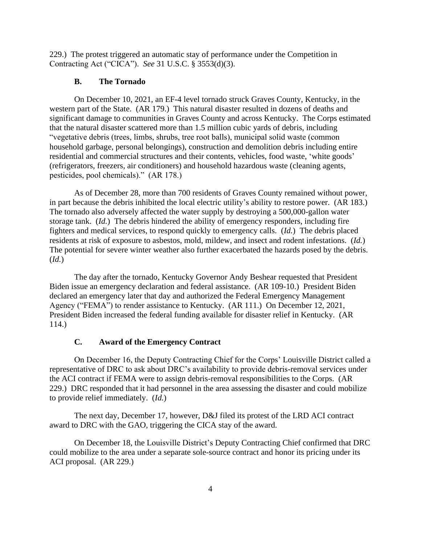229.) The protest triggered an automatic stay of performance under the Competition in Contracting Act ("CICA"). *See* 31 U.S.C. § 3553(d)(3).

#### **B. The Tornado**

On December 10, 2021, an EF-4 level tornado struck Graves County, Kentucky, in the western part of the State. (AR 179.) This natural disaster resulted in dozens of deaths and significant damage to communities in Graves County and across Kentucky. The Corps estimated that the natural disaster scattered more than 1.5 million cubic yards of debris, including "vegetative debris (trees, limbs, shrubs, tree root balls), municipal solid waste (common household garbage, personal belongings), construction and demolition debris including entire residential and commercial structures and their contents, vehicles, food waste, 'white goods' (refrigerators, freezers, air conditioners) and household hazardous waste (cleaning agents, pesticides, pool chemicals)." (AR 178.)

As of December 28, more than 700 residents of Graves County remained without power, in part because the debris inhibited the local electric utility's ability to restore power. (AR 183.) The tornado also adversely affected the water supply by destroying a 500,000-gallon water storage tank. (*Id.*) The debris hindered the ability of emergency responders, including fire fighters and medical services, to respond quickly to emergency calls. (*Id.*) The debris placed residents at risk of exposure to asbestos, mold, mildew, and insect and rodent infestations. (*Id.*) The potential for severe winter weather also further exacerbated the hazards posed by the debris. (*Id.*)

The day after the tornado, Kentucky Governor Andy Beshear requested that President Biden issue an emergency declaration and federal assistance. (AR 109-10.) President Biden declared an emergency later that day and authorized the Federal Emergency Management Agency ("FEMA") to render assistance to Kentucky. (AR 111.) On December 12, 2021, President Biden increased the federal funding available for disaster relief in Kentucky. (AR 114.)

## **C. Award of the Emergency Contract**

On December 16, the Deputy Contracting Chief for the Corps' Louisville District called a representative of DRC to ask about DRC's availability to provide debris-removal services under the ACI contract if FEMA were to assign debris-removal responsibilities to the Corps. (AR 229.) DRC responded that it had personnel in the area assessing the disaster and could mobilize to provide relief immediately. (*Id.*)

The next day, December 17, however, D&J filed its protest of the LRD ACI contract award to DRC with the GAO, triggering the CICA stay of the award.

On December 18, the Louisville District's Deputy Contracting Chief confirmed that DRC could mobilize to the area under a separate sole-source contract and honor its pricing under its ACI proposal. (AR 229.)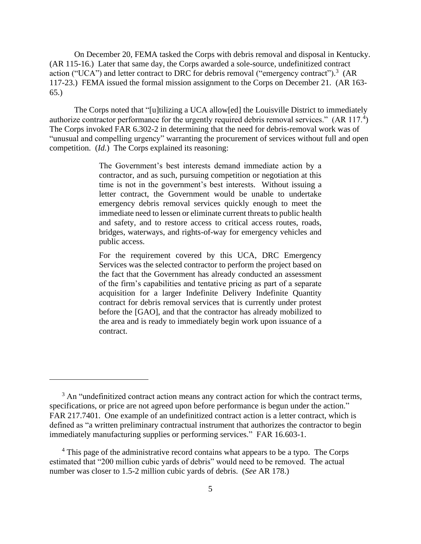On December 20, FEMA tasked the Corps with debris removal and disposal in Kentucky. (AR 115-16.) Later that same day, the Corps awarded a sole-source, undefinitized contract action ("UCA") and letter contract to DRC for debris removal ("emergency contract").<sup>3</sup> (AR 117-23.) FEMA issued the formal mission assignment to the Corps on December 21. (AR 163- 65.)

The Corps noted that "[u]tilizing a UCA allow[ed] the Louisville District to immediately authorize contractor performance for the urgently required debris removal services."  $(AR 117<sup>4</sup>)$ The Corps invoked FAR 6.302-2 in determining that the need for debris-removal work was of "unusual and compelling urgency" warranting the procurement of services without full and open competition. (*Id.*) The Corps explained its reasoning:

> The Government's best interests demand immediate action by a contractor, and as such, pursuing competition or negotiation at this time is not in the government's best interests. Without issuing a letter contract, the Government would be unable to undertake emergency debris removal services quickly enough to meet the immediate need to lessen or eliminate current threats to public health and safety, and to restore access to critical access routes, roads, bridges, waterways, and rights-of-way for emergency vehicles and public access.

> For the requirement covered by this UCA, DRC Emergency Services was the selected contractor to perform the project based on the fact that the Government has already conducted an assessment of the firm's capabilities and tentative pricing as part of a separate acquisition for a larger Indefinite Delivery Indefinite Quantity contract for debris removal services that is currently under protest before the [GAO], and that the contractor has already mobilized to the area and is ready to immediately begin work upon issuance of a contract.

 $3$  An "undefinitized contract action means any contract action for which the contract terms, specifications, or price are not agreed upon before performance is begun under the action." FAR 217.7401. One example of an undefinitized contract action is a letter contract, which is defined as "a written preliminary contractual instrument that authorizes the contractor to begin immediately manufacturing supplies or performing services." FAR 16.603-1.

<sup>&</sup>lt;sup>4</sup> This page of the administrative record contains what appears to be a typo. The Corps estimated that "200 million cubic yards of debris" would need to be removed. The actual number was closer to 1.5-2 million cubic yards of debris. (*See* AR 178.)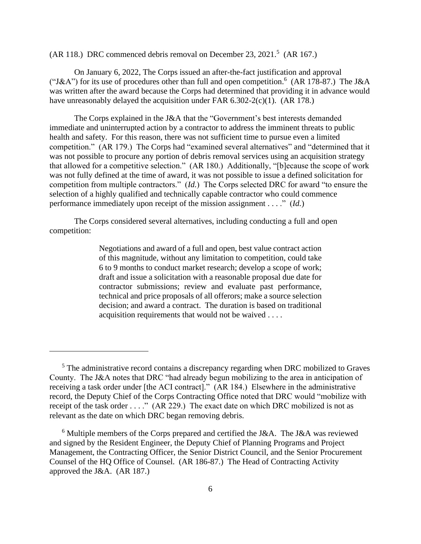(AR 118.) DRC commenced debris removal on December 23, 2021.<sup>5</sup> (AR 167.)

On January 6, 2022, The Corps issued an after-the-fact justification and approval ("J&A") for its use of procedures other than full and open competition.<sup>6</sup> (AR 178-87.) The J&A was written after the award because the Corps had determined that providing it in advance would have unreasonably delayed the acquisition under FAR 6.302-2(c)(1). (AR 178.)

The Corps explained in the J&A that the "Government's best interests demanded immediate and uninterrupted action by a contractor to address the imminent threats to public health and safety. For this reason, there was not sufficient time to pursue even a limited competition." (AR 179.) The Corps had "examined several alternatives" and "determined that it was not possible to procure any portion of debris removal services using an acquisition strategy that allowed for a competitive selection." (AR 180.) Additionally, "[b]ecause the scope of work was not fully defined at the time of award, it was not possible to issue a defined solicitation for competition from multiple contractors." (*Id.*) The Corps selected DRC for award "to ensure the selection of a highly qualified and technically capable contractor who could commence performance immediately upon receipt of the mission assignment . . . ." (*Id.*)

The Corps considered several alternatives, including conducting a full and open competition:

> Negotiations and award of a full and open, best value contract action of this magnitude, without any limitation to competition, could take 6 to 9 months to conduct market research; develop a scope of work; draft and issue a solicitation with a reasonable proposal due date for contractor submissions; review and evaluate past performance, technical and price proposals of all offerors; make a source selection decision; and award a contract. The duration is based on traditional acquisition requirements that would not be waived . . . .

 $5$  The administrative record contains a discrepancy regarding when DRC mobilized to Graves County. The J&A notes that DRC "had already begun mobilizing to the area in anticipation of receiving a task order under [the ACI contract]." (AR 184.) Elsewhere in the administrative record, the Deputy Chief of the Corps Contracting Office noted that DRC would "mobilize with receipt of the task order . . . ." (AR 229.) The exact date on which DRC mobilized is not as relevant as the date on which DRC began removing debris.

 $6$  Multiple members of the Corps prepared and certified the J&A. The J&A was reviewed and signed by the Resident Engineer, the Deputy Chief of Planning Programs and Project Management, the Contracting Officer, the Senior District Council, and the Senior Procurement Counsel of the HQ Office of Counsel. (AR 186-87.) The Head of Contracting Activity approved the J&A. (AR 187.)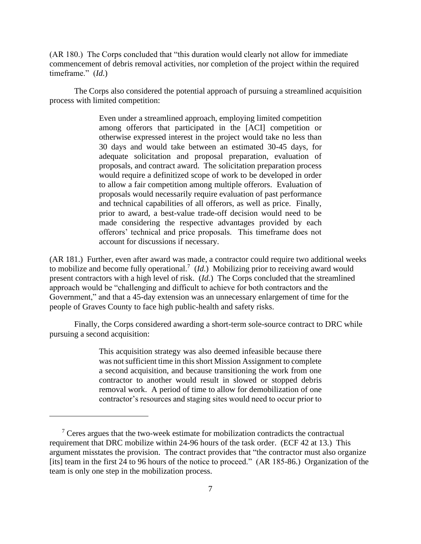(AR 180.) The Corps concluded that "this duration would clearly not allow for immediate commencement of debris removal activities, nor completion of the project within the required timeframe." (*Id.*)

The Corps also considered the potential approach of pursuing a streamlined acquisition process with limited competition:

> Even under a streamlined approach, employing limited competition among offerors that participated in the [ACI] competition or otherwise expressed interest in the project would take no less than 30 days and would take between an estimated 30-45 days, for adequate solicitation and proposal preparation, evaluation of proposals, and contract award. The solicitation preparation process would require a definitized scope of work to be developed in order to allow a fair competition among multiple offerors. Evaluation of proposals would necessarily require evaluation of past performance and technical capabilities of all offerors, as well as price. Finally, prior to award, a best-value trade-off decision would need to be made considering the respective advantages provided by each offerors' technical and price proposals. This timeframe does not account for discussions if necessary.

(AR 181.) Further, even after award was made, a contractor could require two additional weeks to mobilize and become fully operational.<sup>7</sup> (*Id.*) Mobilizing prior to receiving award would present contractors with a high level of risk. (*Id.*) The Corps concluded that the streamlined approach would be "challenging and difficult to achieve for both contractors and the Government," and that a 45-day extension was an unnecessary enlargement of time for the people of Graves County to face high public-health and safety risks.

Finally, the Corps considered awarding a short-term sole-source contract to DRC while pursuing a second acquisition:

> This acquisition strategy was also deemed infeasible because there was not sufficient time in this short Mission Assignment to complete a second acquisition, and because transitioning the work from one contractor to another would result in slowed or stopped debris removal work. A period of time to allow for demobilization of one contractor's resources and staging sites would need to occur prior to

<sup>7</sup> Ceres argues that the two-week estimate for mobilization contradicts the contractual requirement that DRC mobilize within 24-96 hours of the task order. (ECF 42 at 13.) This argument misstates the provision. The contract provides that "the contractor must also organize [its] team in the first 24 to 96 hours of the notice to proceed." (AR 185-86.) Organization of the team is only one step in the mobilization process.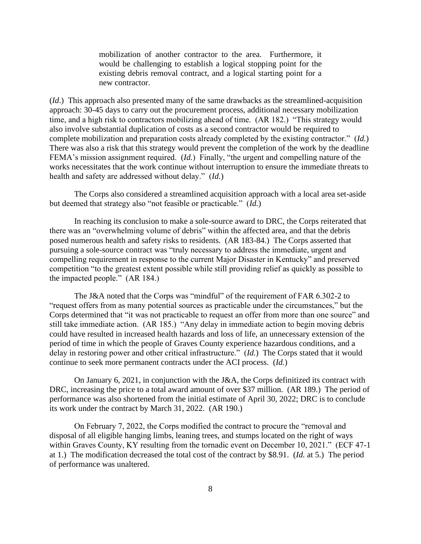mobilization of another contractor to the area. Furthermore, it would be challenging to establish a logical stopping point for the existing debris removal contract, and a logical starting point for a new contractor.

(*Id*.) This approach also presented many of the same drawbacks as the streamlined-acquisition approach: 30-45 days to carry out the procurement process, additional necessary mobilization time, and a high risk to contractors mobilizing ahead of time. (AR 182.) "This strategy would also involve substantial duplication of costs as a second contractor would be required to complete mobilization and preparation costs already completed by the existing contractor." (*Id.*) There was also a risk that this strategy would prevent the completion of the work by the deadline FEMA's mission assignment required. (*Id.*) Finally, "the urgent and compelling nature of the works necessitates that the work continue without interruption to ensure the immediate threats to health and safety are addressed without delay." (*Id.*)

The Corps also considered a streamlined acquisition approach with a local area set-aside but deemed that strategy also "not feasible or practicable." (*Id.*)

In reaching its conclusion to make a sole-source award to DRC, the Corps reiterated that there was an "overwhelming volume of debris" within the affected area, and that the debris posed numerous health and safety risks to residents. (AR 183-84.) The Corps asserted that pursuing a sole-source contract was "truly necessary to address the immediate, urgent and compelling requirement in response to the current Major Disaster in Kentucky" and preserved competition "to the greatest extent possible while still providing relief as quickly as possible to the impacted people." (AR 184.)

The J&A noted that the Corps was "mindful" of the requirement of FAR 6.302-2 to "request offers from as many potential sources as practicable under the circumstances," but the Corps determined that "it was not practicable to request an offer from more than one source" and still take immediate action. (AR 185.) "Any delay in immediate action to begin moving debris could have resulted in increased health hazards and loss of life, an unnecessary extension of the period of time in which the people of Graves County experience hazardous conditions, and a delay in restoring power and other critical infrastructure." (*Id.*) The Corps stated that it would continue to seek more permanent contracts under the ACI process. (*Id.*)

On January 6, 2021, in conjunction with the J&A, the Corps definitized its contract with DRC, increasing the price to a total award amount of over \$37 million. (AR 189.) The period of performance was also shortened from the initial estimate of April 30, 2022; DRC is to conclude its work under the contract by March 31, 2022. (AR 190.)

On February 7, 2022, the Corps modified the contract to procure the "removal and disposal of all eligible hanging limbs, leaning trees, and stumps located on the right of ways within Graves County, KY resulting from the tornadic event on December 10, 2021." (ECF 47-1 at 1.) The modification decreased the total cost of the contract by \$8.91. (*Id.* at 5.) The period of performance was unaltered.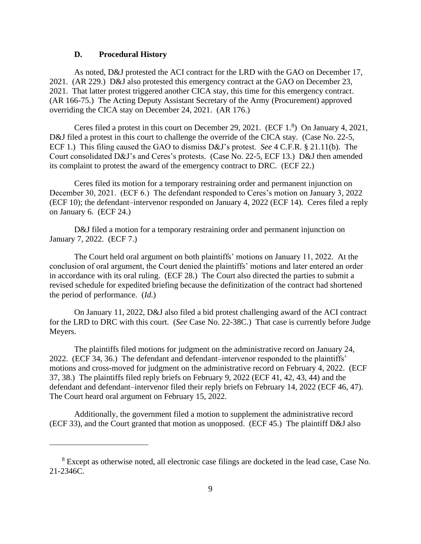## **D. Procedural History**

As noted, D&J protested the ACI contract for the LRD with the GAO on December 17, 2021. (AR 229.) D&J also protested this emergency contract at the GAO on December 23, 2021. That latter protest triggered another CICA stay, this time for this emergency contract. (AR 166-75.) The Acting Deputy Assistant Secretary of the Army (Procurement) approved overriding the CICA stay on December 24, 2021. (AR 176.)

Ceres filed a protest in this court on December 29, 2021. (ECF  $1.8$ ) On January 4, 2021, D&J filed a protest in this court to challenge the override of the CICA stay. (Case No. 22-5, ECF 1.) This filing caused the GAO to dismiss D&J's protest. *See* 4 C.F.R. § 21.11(b). The Court consolidated D&J's and Ceres's protests. (Case No. 22-5, ECF 13.) D&J then amended its complaint to protest the award of the emergency contract to DRC. (ECF 22.)

Ceres filed its motion for a temporary restraining order and permanent injunction on December 30, 2021. (ECF 6.) The defendant responded to Ceres's motion on January 3, 2022 (ECF 10); the defendant–intervenor responded on January 4, 2022 (ECF 14). Ceres filed a reply on January 6. (ECF 24.)

D&J filed a motion for a temporary restraining order and permanent injunction on January 7, 2022. (ECF 7.)

The Court held oral argument on both plaintiffs' motions on January 11, 2022. At the conclusion of oral argument, the Court denied the plaintiffs' motions and later entered an order in accordance with its oral ruling. (ECF 28.) The Court also directed the parties to submit a revised schedule for expedited briefing because the definitization of the contract had shortened the period of performance. (*Id.*)

On January 11, 2022, D&J also filed a bid protest challenging award of the ACI contract for the LRD to DRC with this court. (*See* Case No. 22-38C.) That case is currently before Judge Meyers.

The plaintiffs filed motions for judgment on the administrative record on January 24, 2022. (ECF 34, 36.) The defendant and defendant–intervenor responded to the plaintiffs' motions and cross-moved for judgment on the administrative record on February 4, 2022. (ECF 37, 38.) The plaintiffs filed reply briefs on February 9, 2022 (ECF 41, 42, 43, 44) and the defendant and defendant–intervenor filed their reply briefs on February 14, 2022 (ECF 46, 47). The Court heard oral argument on February 15, 2022.

Additionally, the government filed a motion to supplement the administrative record (ECF 33), and the Court granted that motion as unopposed. (ECF 45.) The plaintiff D&J also

<sup>&</sup>lt;sup>8</sup> Except as otherwise noted, all electronic case filings are docketed in the lead case, Case No. 21-2346C.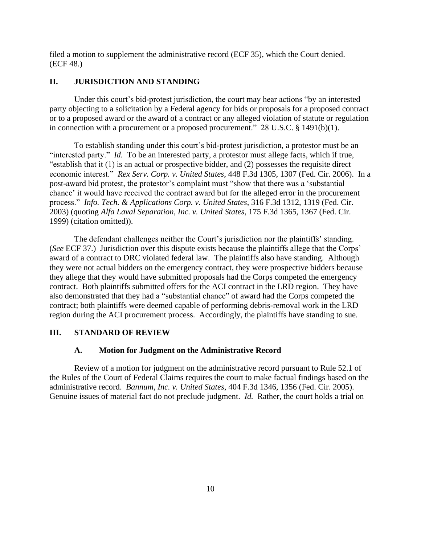filed a motion to supplement the administrative record (ECF 35), which the Court denied. (ECF 48.)

#### **II. JURISDICTION AND STANDING**

Under this court's bid-protest jurisdiction, the court may hear actions "by an interested party objecting to a solicitation by a Federal agency for bids or proposals for a proposed contract or to a proposed award or the award of a contract or any alleged violation of statute or regulation in connection with a procurement or a proposed procurement." 28 U.S.C. § 1491(b)(1).

To establish standing under this court's bid-protest jurisdiction, a protestor must be an "interested party." *Id.* To be an interested party, a protestor must allege facts, which if true, "establish that it (1) is an actual or prospective bidder, and (2) possesses the requisite direct economic interest." *Rex Serv. Corp. v. United States*, 448 F.3d 1305, 1307 (Fed. Cir. 2006). In a post-award bid protest, the protestor's complaint must "show that there was a 'substantial chance' it would have received the contract award but for the alleged error in the procurement process." *Info. Tech. & Applications Corp. v. United States*, 316 F.3d 1312, 1319 (Fed. Cir. 2003) (quoting *Alfa Laval Separation, Inc. v. United States*, 175 F.3d 1365, 1367 (Fed. Cir. 1999) (citation omitted)).

The defendant challenges neither the Court's jurisdiction nor the plaintiffs' standing. (*See* ECF 37.) Jurisdiction over this dispute exists because the plaintiffs allege that the Corps' award of a contract to DRC violated federal law. The plaintiffs also have standing. Although they were not actual bidders on the emergency contract, they were prospective bidders because they allege that they would have submitted proposals had the Corps competed the emergency contract. Both plaintiffs submitted offers for the ACI contract in the LRD region. They have also demonstrated that they had a "substantial chance" of award had the Corps competed the contract; both plaintiffs were deemed capable of performing debris-removal work in the LRD region during the ACI procurement process. Accordingly, the plaintiffs have standing to sue.

## **III. STANDARD OF REVIEW**

#### **A. Motion for Judgment on the Administrative Record**

Review of a motion for judgment on the administrative record pursuant to Rule 52.1 of the Rules of the Court of Federal Claims requires the court to make factual findings based on the administrative record. *Bannum, Inc. v. United States*, 404 F.3d 1346, 1356 (Fed. Cir. 2005). Genuine issues of material fact do not preclude judgment. *Id.* Rather, the court holds a trial on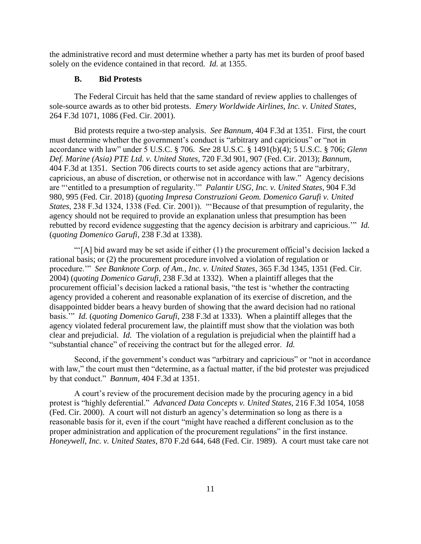the administrative record and must determine whether a party has met its burden of proof based solely on the evidence contained in that record. *Id.* at 1355.

#### **B. Bid Protests**

The Federal Circuit has held that the same standard of review applies to challenges of sole-source awards as to other bid protests. *Emery Worldwide Airlines, Inc. v. United States*, 264 F.3d 1071, 1086 (Fed. Cir. 2001).

Bid protests require a two-step analysis. *See Bannum*, 404 F.3d at 1351. First, the court must determine whether the government's conduct is "arbitrary and capricious" or "not in accordance with law" under 5 U.S.C. § 706. *See* 28 U.S.C. § 1491(b)(4); 5 U.S.C. § 706; *Glenn Def. Marine (Asia) PTE Ltd. v. United States*, 720 F.3d 901, 907 (Fed. Cir. 2013); *Bannum*, 404 F.3d at 1351. Section 706 directs courts to set aside agency actions that are "arbitrary, capricious, an abuse of discretion, or otherwise not in accordance with law." Agency decisions are "'entitled to a presumption of regularity.'" *Palantir USG, Inc. v. United States*, 904 F.3d 980, 995 (Fed. Cir. 2018) (*quoting Impresa Construzioni Geom. Domenico Garufi v. United States*, 238 F.3d 1324, 1338 (Fed. Cir. 2001)). "'Because of that presumption of regularity, the agency should not be required to provide an explanation unless that presumption has been rebutted by record evidence suggesting that the agency decision is arbitrary and capricious.'" *Id.*  (*quoting Domenico Garufi*, 238 F.3d at 1338).

"'[A] bid award may be set aside if either (1) the procurement official's decision lacked a rational basis; or (2) the procurement procedure involved a violation of regulation or procedure.'" *See Banknote Corp. of Am., Inc. v. United States*, 365 F.3d 1345, 1351 (Fed. Cir. 2004) (*quoting Domenico Garufi*, 238 F.3d at 1332). When a plaintiff alleges that the procurement official's decision lacked a rational basis, "the test is 'whether the contracting agency provided a coherent and reasonable explanation of its exercise of discretion, and the disappointed bidder bears a heavy burden of showing that the award decision had no rational basis.'" *Id.* (*quoting Domenico Garufi*, 238 F.3d at 1333). When a plaintiff alleges that the agency violated federal procurement law, the plaintiff must show that the violation was both clear and prejudicial. *Id.* The violation of a regulation is prejudicial when the plaintiff had a "substantial chance" of receiving the contract but for the alleged error. *Id.*

Second, if the government's conduct was "arbitrary and capricious" or "not in accordance with law," the court must then "determine, as a factual matter, if the bid protester was prejudiced by that conduct." *Bannum,* 404 F.3d at 1351.

A court's review of the procurement decision made by the procuring agency in a bid protest is "highly deferential." *Advanced Data Concepts v. United States*, 216 F.3d 1054, 1058 (Fed. Cir. 2000). A court will not disturb an agency's determination so long as there is a reasonable basis for it, even if the court "might have reached a different conclusion as to the proper administration and application of the procurement regulations" in the first instance. *Honeywell, Inc. v. United States*, 870 F.2d 644, 648 (Fed. Cir. 1989). A court must take care not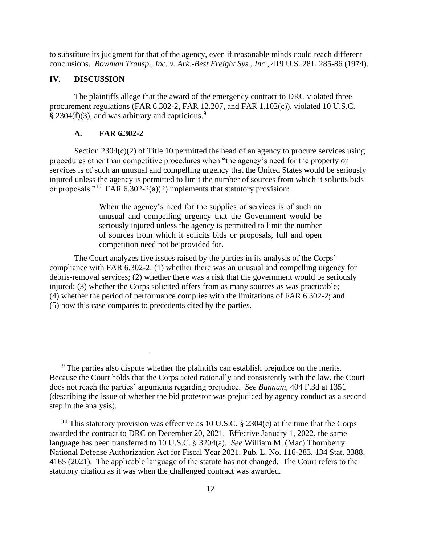to substitute its judgment for that of the agency, even if reasonable minds could reach different conclusions. *Bowman Transp., Inc. v. Ark.-Best Freight Sys., Inc.*, 419 U.S. 281, 285-86 (1974).

#### **IV. DISCUSSION**

The plaintiffs allege that the award of the emergency contract to DRC violated three procurement regulations (FAR 6.302-2, FAR 12.207, and FAR 1.102(c)), violated 10 U.S.C. § 2304(f)(3), and was arbitrary and capricious.<sup>9</sup>

## **A. FAR 6.302-2**

Section  $2304(c)(2)$  of Title 10 permitted the head of an agency to procure services using procedures other than competitive procedures when "the agency's need for the property or services is of such an unusual and compelling urgency that the United States would be seriously injured unless the agency is permitted to limit the number of sources from which it solicits bids or proposals."<sup>10</sup> FAR 6.302-2(a)(2) implements that statutory provision:

> When the agency's need for the supplies or services is of such an unusual and compelling urgency that the Government would be seriously injured unless the agency is permitted to limit the number of sources from which it solicits bids or proposals, full and open competition need not be provided for.

The Court analyzes five issues raised by the parties in its analysis of the Corps' compliance with FAR 6.302-2: (1) whether there was an unusual and compelling urgency for debris-removal services; (2) whether there was a risk that the government would be seriously injured; (3) whether the Corps solicited offers from as many sources as was practicable; (4) whether the period of performance complies with the limitations of FAR 6.302-2; and (5) how this case compares to precedents cited by the parties.

 $9<sup>9</sup>$  The parties also dispute whether the plaintiffs can establish prejudice on the merits. Because the Court holds that the Corps acted rationally and consistently with the law, the Court does not reach the parties' arguments regarding prejudice. *See Bannum*, 404 F.3d at 1351 (describing the issue of whether the bid protestor was prejudiced by agency conduct as a second step in the analysis).

<sup>&</sup>lt;sup>10</sup> This statutory provision was effective as 10 U.S.C. § 2304(c) at the time that the Corps awarded the contract to DRC on December 20, 2021. Effective January 1, 2022, the same language has been transferred to 10 U.S.C. § 3204(a). *See* William M. (Mac) Thornberry National Defense Authorization Act for Fiscal Year 2021, Pub. L. No. 116-283, 134 Stat. 3388, 4165 (2021). The applicable language of the statute has not changed. The Court refers to the statutory citation as it was when the challenged contract was awarded.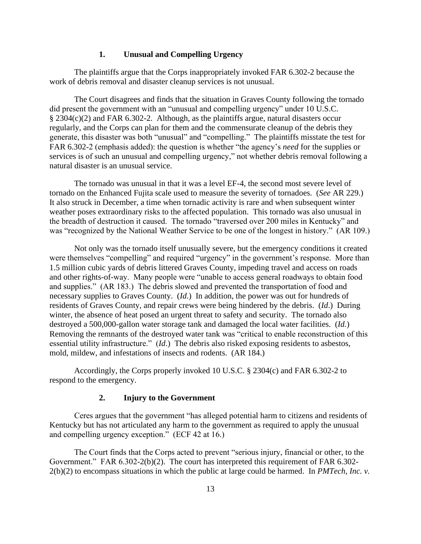## **1. Unusual and Compelling Urgency**

The plaintiffs argue that the Corps inappropriately invoked FAR 6.302-2 because the work of debris removal and disaster cleanup services is not unusual.

The Court disagrees and finds that the situation in Graves County following the tornado did present the government with an "unusual and compelling urgency" under 10 U.S.C. § 2304(c)(2) and FAR 6.302-2. Although, as the plaintiffs argue, natural disasters occur regularly, and the Corps can plan for them and the commensurate cleanup of the debris they generate, this disaster was both "unusual" and "compelling." The plaintiffs misstate the test for FAR 6.302-2 (emphasis added): the question is whether "the agency's *need* for the supplies or services is of such an unusual and compelling urgency," not whether debris removal following a natural disaster is an unusual service.

The tornado was unusual in that it was a level EF-4, the second most severe level of tornado on the Enhanced Fujita scale used to measure the severity of tornadoes. (*See* AR 229.) It also struck in December, a time when tornadic activity is rare and when subsequent winter weather poses extraordinary risks to the affected population. This tornado was also unusual in the breadth of destruction it caused. The tornado "traversed over 200 miles in Kentucky" and was "recognized by the National Weather Service to be one of the longest in history." (AR 109.)

Not only was the tornado itself unusually severe, but the emergency conditions it created were themselves "compelling" and required "urgency" in the government's response. More than 1.5 million cubic yards of debris littered Graves County, impeding travel and access on roads and other rights-of-way. Many people were "unable to access general roadways to obtain food and supplies." (AR 183.) The debris slowed and prevented the transportation of food and necessary supplies to Graves County. (*Id*.) In addition, the power was out for hundreds of residents of Graves County, and repair crews were being hindered by the debris. (*Id*.) During winter, the absence of heat posed an urgent threat to safety and security. The tornado also destroyed a 500,000-gallon water storage tank and damaged the local water facilities. (*Id.*) Removing the remnants of the destroyed water tank was "critical to enable reconstruction of this essential utility infrastructure." (*Id*.) The debris also risked exposing residents to asbestos, mold, mildew, and infestations of insects and rodents. (AR 184.)

Accordingly, the Corps properly invoked 10 U.S.C. § 2304(c) and FAR 6.302-2 to respond to the emergency.

#### **2. Injury to the Government**

Ceres argues that the government "has alleged potential harm to citizens and residents of Kentucky but has not articulated any harm to the government as required to apply the unusual and compelling urgency exception." (ECF 42 at 16.)

The Court finds that the Corps acted to prevent "serious injury, financial or other, to the Government." FAR 6.302-2(b)(2). The court has interpreted this requirement of FAR 6.302- 2(b)(2) to encompass situations in which the public at large could be harmed. In *PMTech, Inc. v.*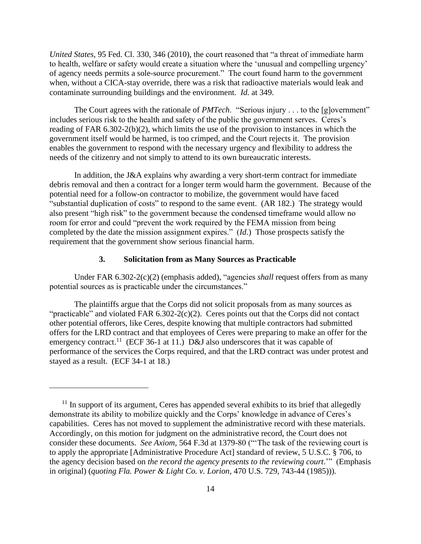*United States*, 95 Fed. Cl. 330, 346 (2010), the court reasoned that "a threat of immediate harm to health, welfare or safety would create a situation where the 'unusual and compelling urgency' of agency needs permits a sole-source procurement." The court found harm to the government when, without a CICA-stay override, there was a risk that radioactive materials would leak and contaminate surrounding buildings and the environment. *Id.* at 349.

The Court agrees with the rationale of *PMTech*. "Serious injury . . . to the [g]overnment" includes serious risk to the health and safety of the public the government serves. Ceres's reading of FAR 6.302-2(b)(2), which limits the use of the provision to instances in which the government itself would be harmed, is too crimped, and the Court rejects it. The provision enables the government to respond with the necessary urgency and flexibility to address the needs of the citizenry and not simply to attend to its own bureaucratic interests.

In addition, the J&A explains why awarding a very short-term contract for immediate debris removal and then a contract for a longer term would harm the government. Because of the potential need for a follow-on contractor to mobilize, the government would have faced "substantial duplication of costs" to respond to the same event. (AR 182.) The strategy would also present "high risk" to the government because the condensed timeframe would allow no room for error and could "prevent the work required by the FEMA mission from being completed by the date the mission assignment expires." (*Id.*) Those prospects satisfy the requirement that the government show serious financial harm.

#### **3. Solicitation from as Many Sources as Practicable**

Under FAR 6.302-2(c)(2) (emphasis added), "agencies *shall* request offers from as many potential sources as is practicable under the circumstances."

The plaintiffs argue that the Corps did not solicit proposals from as many sources as "practicable" and violated FAR  $6.302-2(c)(2)$ . Ceres points out that the Corps did not contact other potential offerors, like Ceres, despite knowing that multiple contractors had submitted offers for the LRD contract and that employees of Ceres were preparing to make an offer for the emergency contract.<sup>11</sup> (ECF 36-1 at 11.) D&J also underscores that it was capable of performance of the services the Corps required, and that the LRD contract was under protest and stayed as a result. (ECF 34-1 at 18.)

 $11$  In support of its argument, Ceres has appended several exhibits to its brief that allegedly demonstrate its ability to mobilize quickly and the Corps' knowledge in advance of Ceres's capabilities. Ceres has not moved to supplement the administrative record with these materials. Accordingly, on this motion for judgment on the administrative record, the Court does not consider these documents. *See Axiom*, 564 F.3d at 1379-80 ("'The task of the reviewing court is to apply the appropriate [Administrative Procedure Act] standard of review, 5 U.S.C. § 706, to the agency decision based on *the record the agency presents to the reviewing court*.'" (Emphasis in original) (*quoting Fla. Power & Light Co. v. Lorion*, 470 U.S. 729, 743-44 (1985)))*.*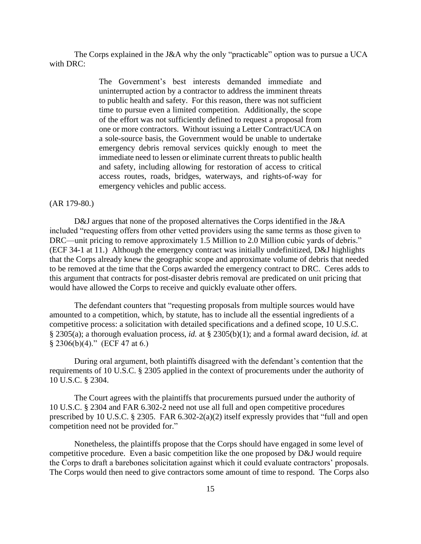The Corps explained in the J&A why the only "practicable" option was to pursue a UCA with DRC:

> The Government's best interests demanded immediate and uninterrupted action by a contractor to address the imminent threats to public health and safety. For this reason, there was not sufficient time to pursue even a limited competition. Additionally, the scope of the effort was not sufficiently defined to request a proposal from one or more contractors. Without issuing a Letter Contract/UCA on a sole-source basis, the Government would be unable to undertake emergency debris removal services quickly enough to meet the immediate need to lessen or eliminate current threats to public health and safety, including allowing for restoration of access to critical access routes, roads, bridges, waterways, and rights-of-way for emergency vehicles and public access.

## (AR 179-80.)

D&J argues that none of the proposed alternatives the Corps identified in the J&A included "requesting offers from other vetted providers using the same terms as those given to DRC—unit pricing to remove approximately 1.5 Million to 2.0 Million cubic yards of debris." (ECF 34-1 at 11.) Although the emergency contract was initially undefinitized, D&J highlights that the Corps already knew the geographic scope and approximate volume of debris that needed to be removed at the time that the Corps awarded the emergency contract to DRC. Ceres adds to this argument that contracts for post-disaster debris removal are predicated on unit pricing that would have allowed the Corps to receive and quickly evaluate other offers.

The defendant counters that "requesting proposals from multiple sources would have amounted to a competition, which, by statute, has to include all the essential ingredients of a competitive process: a solicitation with detailed specifications and a defined scope, 10 U.S.C. § 2305(a); a thorough evaluation process, *id.* at § 2305(b)(1); and a formal award decision, *id.* at  $§$  2306(b)(4)." (ECF 47 at 6.)

During oral argument, both plaintiffs disagreed with the defendant's contention that the requirements of 10 U.S.C. § 2305 applied in the context of procurements under the authority of 10 U.S.C. § 2304.

The Court agrees with the plaintiffs that procurements pursued under the authority of 10 U.S.C. § 2304 and FAR 6.302-2 need not use all full and open competitive procedures prescribed by 10 U.S.C. § 2305. FAR 6.302-2(a)(2) itself expressly provides that "full and open competition need not be provided for."

Nonetheless, the plaintiffs propose that the Corps should have engaged in some level of competitive procedure. Even a basic competition like the one proposed by D&J would require the Corps to draft a barebones solicitation against which it could evaluate contractors' proposals. The Corps would then need to give contractors some amount of time to respond. The Corps also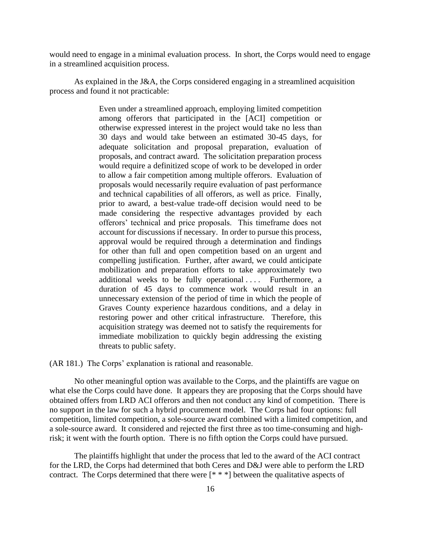would need to engage in a minimal evaluation process. In short, the Corps would need to engage in a streamlined acquisition process.

As explained in the J&A, the Corps considered engaging in a streamlined acquisition process and found it not practicable:

> Even under a streamlined approach, employing limited competition among offerors that participated in the [ACI] competition or otherwise expressed interest in the project would take no less than 30 days and would take between an estimated 30-45 days, for adequate solicitation and proposal preparation, evaluation of proposals, and contract award. The solicitation preparation process would require a definitized scope of work to be developed in order to allow a fair competition among multiple offerors. Evaluation of proposals would necessarily require evaluation of past performance and technical capabilities of all offerors, as well as price. Finally, prior to award, a best-value trade-off decision would need to be made considering the respective advantages provided by each offerors' technical and price proposals. This timeframe does not account for discussions if necessary. In order to pursue this process, approval would be required through a determination and findings for other than full and open competition based on an urgent and compelling justification. Further, after award, we could anticipate mobilization and preparation efforts to take approximately two additional weeks to be fully operational .... Furthermore, a duration of 45 days to commence work would result in an unnecessary extension of the period of time in which the people of Graves County experience hazardous conditions, and a delay in restoring power and other critical infrastructure. Therefore, this acquisition strategy was deemed not to satisfy the requirements for immediate mobilization to quickly begin addressing the existing threats to public safety.

(AR 181.) The Corps' explanation is rational and reasonable.

No other meaningful option was available to the Corps, and the plaintiffs are vague on what else the Corps could have done. It appears they are proposing that the Corps should have obtained offers from LRD ACI offerors and then not conduct any kind of competition. There is no support in the law for such a hybrid procurement model. The Corps had four options: full competition, limited competition, a sole-source award combined with a limited competition, and a sole-source award. It considered and rejected the first three as too time-consuming and highrisk; it went with the fourth option. There is no fifth option the Corps could have pursued.

The plaintiffs highlight that under the process that led to the award of the ACI contract for the LRD, the Corps had determined that both Ceres and D&J were able to perform the LRD contract. The Corps determined that there were [\* \* \*] between the qualitative aspects of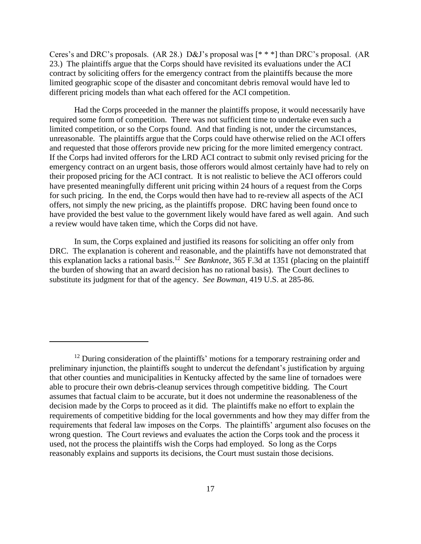Ceres's and DRC's proposals. (AR 28.) D&J's proposal was [\* \* \*] than DRC's proposal. (AR 23.) The plaintiffs argue that the Corps should have revisited its evaluations under the ACI contract by soliciting offers for the emergency contract from the plaintiffs because the more limited geographic scope of the disaster and concomitant debris removal would have led to different pricing models than what each offered for the ACI competition.

Had the Corps proceeded in the manner the plaintiffs propose, it would necessarily have required some form of competition. There was not sufficient time to undertake even such a limited competition, or so the Corps found. And that finding is not, under the circumstances, unreasonable. The plaintiffs argue that the Corps could have otherwise relied on the ACI offers and requested that those offerors provide new pricing for the more limited emergency contract. If the Corps had invited offerors for the LRD ACI contract to submit only revised pricing for the emergency contract on an urgent basis, those offerors would almost certainly have had to rely on their proposed pricing for the ACI contract. It is not realistic to believe the ACI offerors could have presented meaningfully different unit pricing within 24 hours of a request from the Corps for such pricing. In the end, the Corps would then have had to re-review all aspects of the ACI offers, not simply the new pricing, as the plaintiffs propose. DRC having been found once to have provided the best value to the government likely would have fared as well again. And such a review would have taken time, which the Corps did not have.

In sum, the Corps explained and justified its reasons for soliciting an offer only from DRC. The explanation is coherent and reasonable, and the plaintiffs have not demonstrated that this explanation lacks a rational basis.<sup>12</sup> *See Banknote*, 365 F.3d at 1351 (placing on the plaintiff the burden of showing that an award decision has no rational basis). The Court declines to substitute its judgment for that of the agency. *See Bowman*, 419 U.S. at 285-86.

<sup>&</sup>lt;sup>12</sup> During consideration of the plaintiffs' motions for a temporary restraining order and preliminary injunction, the plaintiffs sought to undercut the defendant's justification by arguing that other counties and municipalities in Kentucky affected by the same line of tornadoes were able to procure their own debris-cleanup services through competitive bidding. The Court assumes that factual claim to be accurate, but it does not undermine the reasonableness of the decision made by the Corps to proceed as it did. The plaintiffs make no effort to explain the requirements of competitive bidding for the local governments and how they may differ from the requirements that federal law imposes on the Corps. The plaintiffs' argument also focuses on the wrong question. The Court reviews and evaluates the action the Corps took and the process it used, not the process the plaintiffs wish the Corps had employed. So long as the Corps reasonably explains and supports its decisions, the Court must sustain those decisions.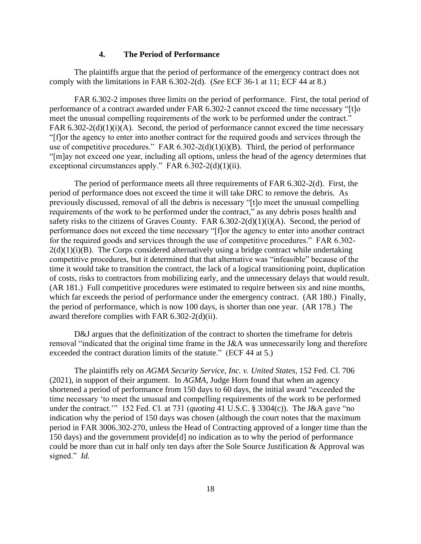## **4. The Period of Performance**

The plaintiffs argue that the period of performance of the emergency contract does not comply with the limitations in FAR 6.302-2(d). (*See* ECF 36-1 at 11; ECF 44 at 8.)

FAR 6.302-2 imposes three limits on the period of performance. First, the total period of performance of a contract awarded under FAR 6.302-2 cannot exceed the time necessary "[t]o meet the unusual compelling requirements of the work to be performed under the contract." FAR  $6.302-2(d)(1)(i)(A)$ . Second, the period of performance cannot exceed the time necessary "[f]or the agency to enter into another contract for the required goods and services through the use of competitive procedures." FAR  $6.302-2(d)(1)(i)(B)$ . Third, the period of performance "[m]ay not exceed one year, including all options, unless the head of the agency determines that exceptional circumstances apply." FAR 6.302-2(d)(1)(ii).

The period of performance meets all three requirements of FAR 6.302-2(d). First, the period of performance does not exceed the time it will take DRC to remove the debris. As previously discussed, removal of all the debris is necessary "[t]o meet the unusual compelling requirements of the work to be performed under the contract," as any debris poses health and safety risks to the citizens of Graves County. FAR  $6.302-2(d)(1)(i)(A)$ . Second, the period of performance does not exceed the time necessary "[f]or the agency to enter into another contract for the required goods and services through the use of competitive procedures." FAR 6.302-  $2(d)(1)(i)(B)$ . The Corps considered alternatively using a bridge contract while undertaking competitive procedures, but it determined that that alternative was "infeasible" because of the time it would take to transition the contract, the lack of a logical transitioning point, duplication of costs, risks to contractors from mobilizing early, and the unnecessary delays that would result. (AR 181.) Full competitive procedures were estimated to require between six and nine months, which far exceeds the period of performance under the emergency contract. (AR 180.) Finally, the period of performance, which is now 100 days, is shorter than one year. (AR 178.) The award therefore complies with FAR 6.302-2(d)(ii).

D&J argues that the definitization of the contract to shorten the timeframe for debris removal "indicated that the original time frame in the J&A was unnecessarily long and therefore exceeded the contract duration limits of the statute." (ECF 44 at 5.)

The plaintiffs rely on *AGMA Security Service, Inc. v. United States*, 152 Fed. Cl. 706 (2021), in support of their argument. In *AGMA*, Judge Horn found that when an agency shortened a period of performance from 150 days to 60 days, the initial award "exceeded the time necessary 'to meet the unusual and compelling requirements of the work to be performed under the contract.'" 152 Fed. Cl. at 731 (*quoting* 41 U.S.C. § 3304(c)). The J&A gave "no indication why the period of 150 days was chosen (although the court notes that the maximum period in FAR 3006.302-270, unless the Head of Contracting approved of a longer time than the 150 days) and the government provide[d] no indication as to why the period of performance could be more than cut in half only ten days after the Sole Source Justification & Approval was signed." *Id.*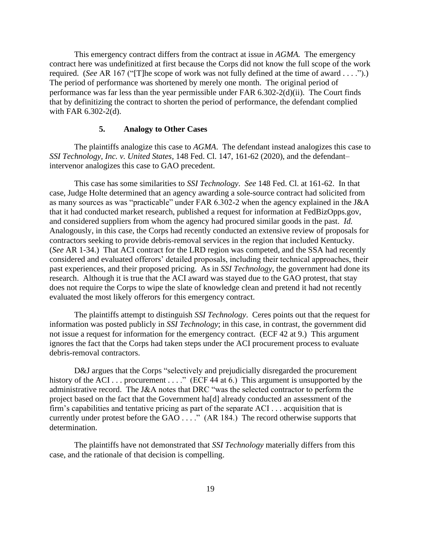This emergency contract differs from the contract at issue in *AGMA.* The emergency contract here was undefinitized at first because the Corps did not know the full scope of the work required. (*See* AR 167 ("[T]he scope of work was not fully defined at the time of award . . . .").) The period of performance was shortened by merely one month. The original period of performance was far less than the year permissible under FAR 6.302-2(d)(ii). The Court finds that by definitizing the contract to shorten the period of performance, the defendant complied with FAR 6.302-2(d).

#### **5. Analogy to Other Cases**

The plaintiffs analogize this case to *AGMA*. The defendant instead analogizes this case to *SSI Technology, Inc. v. United States*, 148 Fed. Cl. 147, 161-62 (2020), and the defendant– intervenor analogizes this case to GAO precedent.

This case has some similarities to *SSI Technology*. *See* 148 Fed. Cl. at 161-62. In that case, Judge Holte determined that an agency awarding a sole-source contract had solicited from as many sources as was "practicable" under FAR 6.302-2 when the agency explained in the J&A that it had conducted market research, published a request for information at FedBizOpps.gov, and considered suppliers from whom the agency had procured similar goods in the past. *Id.*  Analogously, in this case, the Corps had recently conducted an extensive review of proposals for contractors seeking to provide debris-removal services in the region that included Kentucky. (*See* AR 1-34.) That ACI contract for the LRD region was competed, and the SSA had recently considered and evaluated offerors' detailed proposals, including their technical approaches, their past experiences, and their proposed pricing. As in *SSI Technology*, the government had done its research. Although it is true that the ACI award was stayed due to the GAO protest, that stay does not require the Corps to wipe the slate of knowledge clean and pretend it had not recently evaluated the most likely offerors for this emergency contract.

The plaintiffs attempt to distinguish *SSI Technology*. Ceres points out that the request for information was posted publicly in *SSI Technology*; in this case, in contrast, the government did not issue a request for information for the emergency contract. (ECF 42 at 9.) This argument ignores the fact that the Corps had taken steps under the ACI procurement process to evaluate debris-removal contractors.

D&J argues that the Corps "selectively and prejudicially disregarded the procurement history of the ACI . . . procurement . . . ." (ECF 44 at 6.) This argument is unsupported by the administrative record. The J&A notes that DRC "was the selected contractor to perform the project based on the fact that the Government ha[d] already conducted an assessment of the firm's capabilities and tentative pricing as part of the separate ACI . . . acquisition that is currently under protest before the GAO . . . ." (AR 184.) The record otherwise supports that determination.

The plaintiffs have not demonstrated that *SSI Technology* materially differs from this case, and the rationale of that decision is compelling.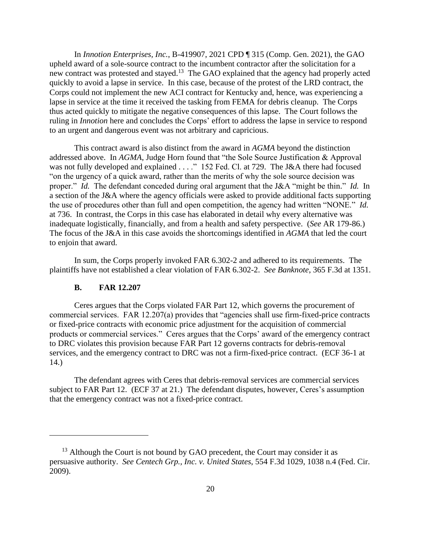In *Innotion Enterprises, Inc.*, B-419907, 2021 CPD ¶ 315 (Comp. Gen. 2021), the GAO upheld award of a sole-source contract to the incumbent contractor after the solicitation for a new contract was protested and stayed.<sup>13</sup> The GAO explained that the agency had properly acted quickly to avoid a lapse in service. In this case, because of the protest of the LRD contract, the Corps could not implement the new ACI contract for Kentucky and, hence, was experiencing a lapse in service at the time it received the tasking from FEMA for debris cleanup. The Corps thus acted quickly to mitigate the negative consequences of this lapse. The Court follows the ruling in *Innotion* here and concludes the Corps' effort to address the lapse in service to respond to an urgent and dangerous event was not arbitrary and capricious.

This contract award is also distinct from the award in *AGMA* beyond the distinction addressed above. In *AGMA*, Judge Horn found that "the Sole Source Justification & Approval was not fully developed and explained . . . ." 152 Fed. Cl. at 729. The J&A there had focused "on the urgency of a quick award, rather than the merits of why the sole source decision was proper." *Id.* The defendant conceded during oral argument that the J&A "might be thin." *Id.* In a section of the J&A where the agency officials were asked to provide additional facts supporting the use of procedures other than full and open competition, the agency had written "NONE." *Id.*  at 736. In contrast, the Corps in this case has elaborated in detail why every alternative was inadequate logistically, financially, and from a health and safety perspective. (*See* AR 179-86.) The focus of the J&A in this case avoids the shortcomings identified in *AGMA* that led the court to enjoin that award.

In sum, the Corps properly invoked FAR 6.302-2 and adhered to its requirements. The plaintiffs have not established a clear violation of FAR 6.302-2. *See Banknote*, 365 F.3d at 1351.

#### **B. FAR 12.207**

Ceres argues that the Corps violated FAR Part 12, which governs the procurement of commercial services. FAR 12.207(a) provides that "agencies shall use firm-fixed-price contracts or fixed-price contracts with economic price adjustment for the acquisition of commercial products or commercial services." Ceres argues that the Corps' award of the emergency contract to DRC violates this provision because FAR Part 12 governs contracts for debris-removal services, and the emergency contract to DRC was not a firm-fixed-price contract. (ECF 36-1 at 14.)

The defendant agrees with Ceres that debris-removal services are commercial services subject to FAR Part 12. (ECF 37 at 21.) The defendant disputes, however, Ceres's assumption that the emergency contract was not a fixed-price contract.

 $13$  Although the Court is not bound by GAO precedent, the Court may consider it as persuasive authority. *See Centech Grp., Inc. v. United States*, 554 F.3d 1029, 1038 n.4 (Fed. Cir. 2009).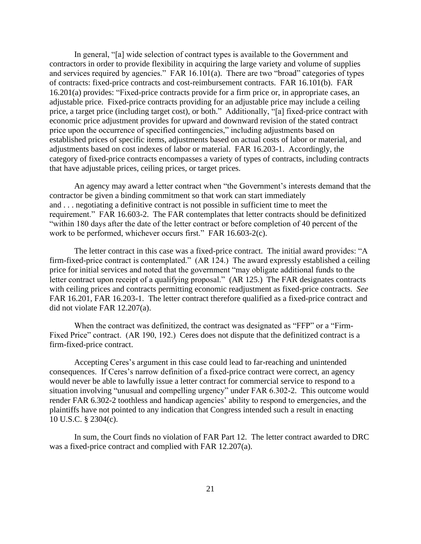In general, "[a] wide selection of contract types is available to the Government and contractors in order to provide flexibility in acquiring the large variety and volume of supplies and services required by agencies." FAR 16.101(a). There are two "broad" categories of types of contracts: fixed-price contracts and cost-reimbursement contracts. FAR 16.101(b). FAR 16.201(a) provides: "Fixed-price contracts provide for a firm price or, in appropriate cases, an adjustable price. Fixed-price contracts providing for an adjustable price may include a ceiling price, a target price (including target cost), or both." Additionally, "[a] fixed-price contract with economic price adjustment provides for upward and downward revision of the stated contract price upon the occurrence of specified contingencies," including adjustments based on established prices of specific items, adjustments based on actual costs of labor or material, and adjustments based on cost indexes of labor or material. FAR 16.203-1. Accordingly, the category of fixed-price contracts encompasses a variety of types of contracts, including contracts that have adjustable prices, ceiling prices, or target prices.

An agency may award a letter contract when "the Government's interests demand that the contractor be given a binding commitment so that work can start immediately and . . . negotiating a definitive contract is not possible in sufficient time to meet the requirement." FAR 16.603-2. The FAR contemplates that letter contracts should be definitized "within 180 days after the date of the letter contract or before completion of 40 percent of the work to be performed, whichever occurs first." FAR 16.603-2(c).

The letter contract in this case was a fixed-price contract. The initial award provides: "A firm-fixed-price contract is contemplated." (AR 124.) The award expressly established a ceiling price for initial services and noted that the government "may obligate additional funds to the letter contract upon receipt of a qualifying proposal." (AR 125.) The FAR designates contracts with ceiling prices and contracts permitting economic readjustment as fixed-price contracts. *See*  FAR 16.201, FAR 16.203-1. The letter contract therefore qualified as a fixed-price contract and did not violate FAR 12.207(a).

When the contract was definitized, the contract was designated as "FFP" or a "Firm-Fixed Price" contract. (AR 190, 192.) Ceres does not dispute that the definitized contract is a firm-fixed-price contract.

Accepting Ceres's argument in this case could lead to far-reaching and unintended consequences. If Ceres's narrow definition of a fixed-price contract were correct, an agency would never be able to lawfully issue a letter contract for commercial service to respond to a situation involving "unusual and compelling urgency" under FAR 6.302-2. This outcome would render FAR 6.302-2 toothless and handicap agencies' ability to respond to emergencies, and the plaintiffs have not pointed to any indication that Congress intended such a result in enacting 10 U.S.C. § 2304(c).

In sum, the Court finds no violation of FAR Part 12. The letter contract awarded to DRC was a fixed-price contract and complied with FAR 12.207(a).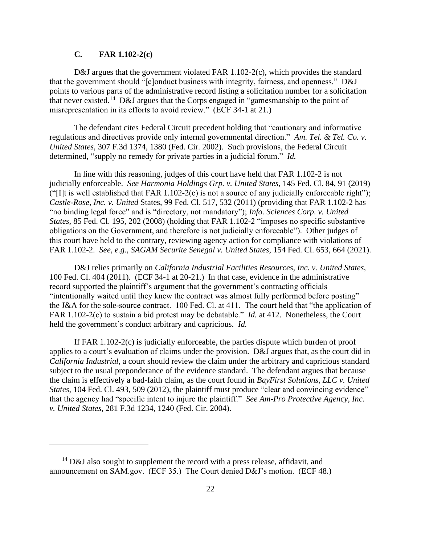## **C. FAR 1.102-2(c)**

D&J argues that the government violated FAR 1.102-2(c), which provides the standard that the government should "[c]onduct business with integrity, fairness, and openness." D&J points to various parts of the administrative record listing a solicitation number for a solicitation that never existed.<sup>14</sup> D&J argues that the Corps engaged in "gamesmanship to the point of misrepresentation in its efforts to avoid review." (ECF 34-1 at 21.)

The defendant cites Federal Circuit precedent holding that "cautionary and informative regulations and directives provide only internal governmental direction." *Am. Tel. & Tel. Co. v. United States*, 307 F.3d 1374, 1380 (Fed. Cir. 2002). Such provisions, the Federal Circuit determined, "supply no remedy for private parties in a judicial forum." *Id.*

In line with this reasoning, judges of this court have held that FAR 1.102-2 is not judicially enforceable. *See Harmonia Holdings Grp. v. United States*, 145 Fed. Cl. 84, 91 (2019) ("[I]t is well established that FAR 1.102-2(c) is not a source of any judicially enforceable right"); *Castle-Rose, Inc. v. United* States, 99 Fed. Cl. 517, 532 (2011) (providing that FAR 1.102-2 has "no binding legal force" and is "directory, not mandatory"); *Info. Sciences Corp. v. United States*, 85 Fed. Cl. 195, 202 (2008) (holding that FAR 1.102-2 "imposes no specific substantive obligations on the Government, and therefore is not judicially enforceable"). Other judges of this court have held to the contrary, reviewing agency action for compliance with violations of FAR 1.102-2. *See, e.g., SAGAM Securite Senegal v. United States*, 154 Fed. Cl. 653, 664 (2021).

D&J relies primarily on *California Industrial Facilities Resources, Inc. v. United States*, 100 Fed. Cl. 404 (2011). (ECF 34-1 at 20-21.) In that case, evidence in the administrative record supported the plaintiff's argument that the government's contracting officials "intentionally waited until they knew the contract was almost fully performed before posting" the J&A for the sole-source contract. 100 Fed. Cl. at 411. The court held that "the application of FAR 1.102-2(c) to sustain a bid protest may be debatable." *Id.* at 412. Nonetheless, the Court held the government's conduct arbitrary and capricious. *Id.*

If FAR 1.102-2(c) is judicially enforceable, the parties dispute which burden of proof applies to a court's evaluation of claims under the provision. D&J argues that, as the court did in *California Industrial*, a court should review the claim under the arbitrary and capricious standard subject to the usual preponderance of the evidence standard. The defendant argues that because the claim is effectively a bad-faith claim, as the court found in *BayFirst Solutions, LLC v. United States*, 104 Fed. Cl. 493, 509 (2012), the plaintiff must produce "clear and convincing evidence" that the agency had "specific intent to injure the plaintiff." *See Am-Pro Protective Agency, Inc. v. United States*, 281 F.3d 1234, 1240 (Fed. Cir. 2004).

 $14$  D&J also sought to supplement the record with a press release, affidavit, and announcement on SAM.gov. (ECF 35.) The Court denied D&J's motion. (ECF 48.)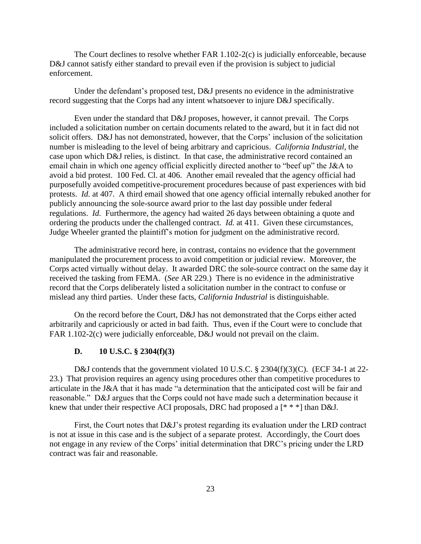The Court declines to resolve whether FAR 1.102-2(c) is judicially enforceable, because D&J cannot satisfy either standard to prevail even if the provision is subject to judicial enforcement.

Under the defendant's proposed test, D&J presents no evidence in the administrative record suggesting that the Corps had any intent whatsoever to injure D&J specifically.

Even under the standard that D&J proposes, however, it cannot prevail. The Corps included a solicitation number on certain documents related to the award, but it in fact did not solicit offers. D&J has not demonstrated, however, that the Corps' inclusion of the solicitation number is misleading to the level of being arbitrary and capricious. *California Industrial*, the case upon which D&J relies, is distinct. In that case, the administrative record contained an email chain in which one agency official explicitly directed another to "beef up" the J&A to avoid a bid protest. 100 Fed. Cl. at 406. Another email revealed that the agency official had purposefully avoided competitive-procurement procedures because of past experiences with bid protests. *Id.* at 407. A third email showed that one agency official internally rebuked another for publicly announcing the sole-source award prior to the last day possible under federal regulations. *Id.* Furthermore, the agency had waited 26 days between obtaining a quote and ordering the products under the challenged contract. *Id.* at 411. Given these circumstances, Judge Wheeler granted the plaintiff's motion for judgment on the administrative record.

The administrative record here, in contrast, contains no evidence that the government manipulated the procurement process to avoid competition or judicial review. Moreover, the Corps acted virtually without delay. It awarded DRC the sole-source contract on the same day it received the tasking from FEMA. (*See* AR 229.) There is no evidence in the administrative record that the Corps deliberately listed a solicitation number in the contract to confuse or mislead any third parties. Under these facts, *California Industrial* is distinguishable.

On the record before the Court, D&J has not demonstrated that the Corps either acted arbitrarily and capriciously or acted in bad faith. Thus, even if the Court were to conclude that FAR 1.102-2(c) were judicially enforceable, D&J would not prevail on the claim.

## **D. 10 U.S.C. § 2304(f)(3)**

D&J contends that the government violated 10 U.S.C. § 2304(f)(3)(C). (ECF 34-1 at 22-23.) That provision requires an agency using procedures other than competitive procedures to articulate in the J&A that it has made "a determination that the anticipated cost will be fair and reasonable." D&J argues that the Corps could not have made such a determination because it knew that under their respective ACI proposals, DRC had proposed a  $[$ \* \*  $]$ <sup>\*</sup> than D&J.

First, the Court notes that D&J's protest regarding its evaluation under the LRD contract is not at issue in this case and is the subject of a separate protest. Accordingly, the Court does not engage in any review of the Corps' initial determination that DRC's pricing under the LRD contract was fair and reasonable.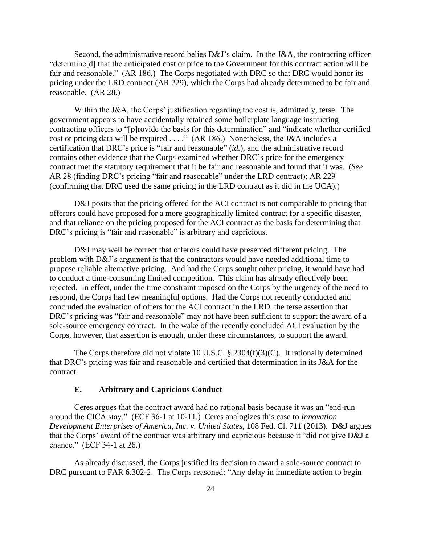Second, the administrative record belies  $D&J$ 's claim. In the J $&A$ , the contracting officer "determine[d] that the anticipated cost or price to the Government for this contract action will be fair and reasonable." (AR 186.) The Corps negotiated with DRC so that DRC would honor its pricing under the LRD contract (AR 229), which the Corps had already determined to be fair and reasonable. (AR 28.)

Within the J&A, the Corps' justification regarding the cost is, admittedly, terse. The government appears to have accidentally retained some boilerplate language instructing contracting officers to "[p]rovide the basis for this determination" and "indicate whether certified cost or pricing data will be required . . . ." (AR 186.) Nonetheless, the J&A includes a certification that DRC's price is "fair and reasonable" (*id.*), and the administrative record contains other evidence that the Corps examined whether DRC's price for the emergency contract met the statutory requirement that it be fair and reasonable and found that it was. (*See*  AR 28 (finding DRC's pricing "fair and reasonable" under the LRD contract); AR 229 (confirming that DRC used the same pricing in the LRD contract as it did in the UCA).)

D&J posits that the pricing offered for the ACI contract is not comparable to pricing that offerors could have proposed for a more geographically limited contract for a specific disaster, and that reliance on the pricing proposed for the ACI contract as the basis for determining that DRC's pricing is "fair and reasonable" is arbitrary and capricious.

D&J may well be correct that offerors could have presented different pricing. The problem with D&J's argument is that the contractors would have needed additional time to propose reliable alternative pricing. And had the Corps sought other pricing, it would have had to conduct a time-consuming limited competition. This claim has already effectively been rejected. In effect, under the time constraint imposed on the Corps by the urgency of the need to respond, the Corps had few meaningful options. Had the Corps not recently conducted and concluded the evaluation of offers for the ACI contract in the LRD, the terse assertion that DRC's pricing was "fair and reasonable" may not have been sufficient to support the award of a sole-source emergency contract. In the wake of the recently concluded ACI evaluation by the Corps, however, that assertion is enough, under these circumstances, to support the award.

The Corps therefore did not violate 10 U.S.C. § 2304(f)(3)(C). It rationally determined that DRC's pricing was fair and reasonable and certified that determination in its J&A for the contract.

## **E. Arbitrary and Capricious Conduct**

Ceres argues that the contract award had no rational basis because it was an "end-run around the CICA stay." (ECF 36-1 at 10-11.) Ceres analogizes this case to *Innovation Development Enterprises of America, Inc. v. United States*, 108 Fed. Cl. 711 (2013). D&J argues that the Corps' award of the contract was arbitrary and capricious because it "did not give D&J a chance." (ECF 34-1 at 26.)

As already discussed, the Corps justified its decision to award a sole-source contract to DRC pursuant to FAR 6.302-2. The Corps reasoned: "Any delay in immediate action to begin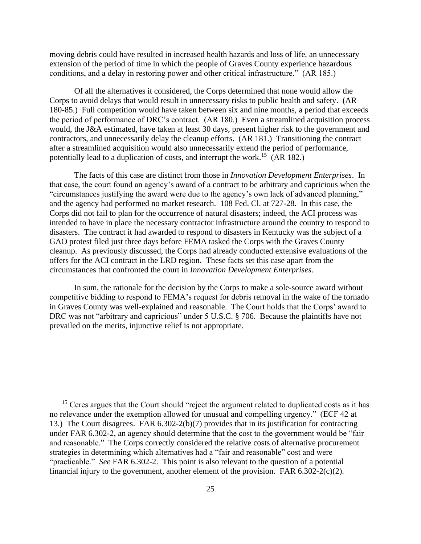moving debris could have resulted in increased health hazards and loss of life, an unnecessary extension of the period of time in which the people of Graves County experience hazardous conditions, and a delay in restoring power and other critical infrastructure." (AR 185.)

Of all the alternatives it considered, the Corps determined that none would allow the Corps to avoid delays that would result in unnecessary risks to public health and safety. (AR 180-85.) Full competition would have taken between six and nine months, a period that exceeds the period of performance of DRC's contract. (AR 180.) Even a streamlined acquisition process would, the J&A estimated, have taken at least 30 days, present higher risk to the government and contractors, and unnecessarily delay the cleanup efforts. (AR 181.) Transitioning the contract after a streamlined acquisition would also unnecessarily extend the period of performance, potentially lead to a duplication of costs, and interrupt the work.<sup>15</sup> (AR 182.)

The facts of this case are distinct from those in *Innovation Development Enterprises*. In that case, the court found an agency's award of a contract to be arbitrary and capricious when the "circumstances justifying the award were due to the agency's own lack of advanced planning," and the agency had performed no market research. 108 Fed. Cl. at 727-28. In this case, the Corps did not fail to plan for the occurrence of natural disasters; indeed, the ACI process was intended to have in place the necessary contractor infrastructure around the country to respond to disasters. The contract it had awarded to respond to disasters in Kentucky was the subject of a GAO protest filed just three days before FEMA tasked the Corps with the Graves County cleanup. As previously discussed, the Corps had already conducted extensive evaluations of the offers for the ACI contract in the LRD region. These facts set this case apart from the circumstances that confronted the court in *Innovation Development Enterprises*.

In sum, the rationale for the decision by the Corps to make a sole-source award without competitive bidding to respond to FEMA's request for debris removal in the wake of the tornado in Graves County was well-explained and reasonable. The Court holds that the Corps' award to DRC was not "arbitrary and capricious" under 5 U.S.C. § 706. Because the plaintiffs have not prevailed on the merits, injunctive relief is not appropriate.

 $15$  Ceres argues that the Court should "reject the argument related to duplicated costs as it has no relevance under the exemption allowed for unusual and compelling urgency." (ECF 42 at 13.) The Court disagrees. FAR 6.302-2(b)(7) provides that in its justification for contracting under FAR 6.302-2, an agency should determine that the cost to the government would be "fair and reasonable." The Corps correctly considered the relative costs of alternative procurement strategies in determining which alternatives had a "fair and reasonable" cost and were "practicable." *See* FAR 6.302-2. This point is also relevant to the question of a potential financial injury to the government, another element of the provision. FAR 6.302-2(c)(2).